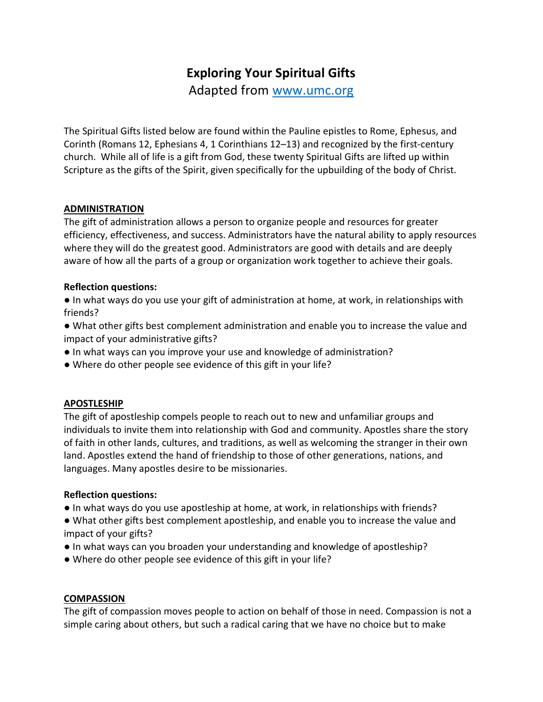# Exploring Your Spiritual Gifts

Adapted from www.umc.org

The Spiritual Gifts listed below are found within the Pauline epistles to Rome, Ephesus, and Corinth (Romans 12, Ephesians 4, 1 Corinthians 12–13) and recognized by the first-century church. While all of life is a gift from God, these twenty Spiritual Gifts are lifted up within Scripture as the gifts of the Spirit, given specifically for the upbuilding of the body of Christ.

#### ADMINISTRATION

The gift of administration allows a person to organize people and resources for greater efficiency, effectiveness, and success. Administrators have the natural ability to apply resources where they will do the greatest good. Administrators are good with details and are deeply aware of how all the parts of a group or organization work together to achieve their goals.

#### Reflection questions:

● In what ways do you use your gift of administration at home, at work, in relationships with friends?

● What other gifts best complement administration and enable you to increase the value and impact of your administrative gifts?

- In what ways can you improve your use and knowledge of administration?
- Where do other people see evidence of this gift in your life?

#### APOSTLESHIP

The gift of apostleship compels people to reach out to new and unfamiliar groups and individuals to invite them into relationship with God and community. Apostles share the story of faith in other lands, cultures, and traditions, as well as welcoming the stranger in their own land. Apostles extend the hand of friendship to those of other generations, nations, and languages. Many apostles desire to be missionaries.

#### Reflection questions:

- In what ways do you use apostleship at home, at work, in relationships with friends?
- What other gifts best complement apostleship, and enable you to increase the value and impact of your gifts?
- In what ways can you broaden your understanding and knowledge of apostleship?
- Where do other people see evidence of this gift in your life?

#### **COMPASSION**

The gift of compassion moves people to action on behalf of those in need. Compassion is not a simple caring about others, but such a radical caring that we have no choice but to make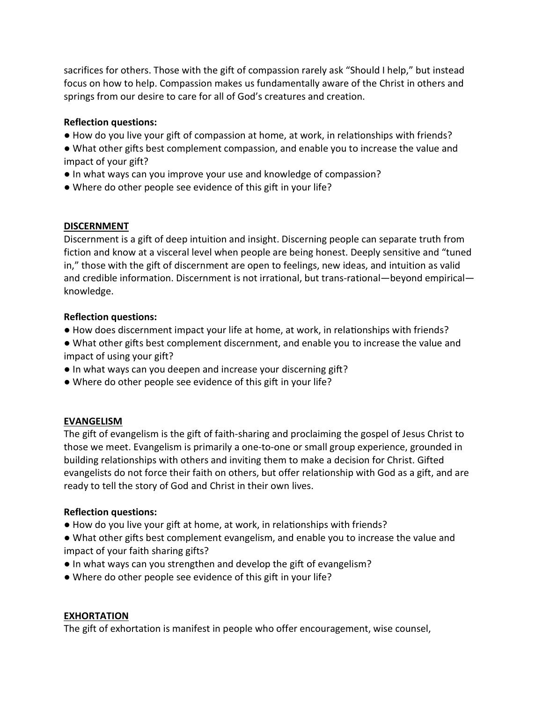sacrifices for others. Those with the gift of compassion rarely ask "Should I help," but instead focus on how to help. Compassion makes us fundamentally aware of the Christ in others and springs from our desire to care for all of God's creatures and creation.

### Reflection questions:

- How do you live your gift of compassion at home, at work, in relationships with friends?
- What other gifts best complement compassion, and enable you to increase the value and impact of your gift?
- In what ways can you improve your use and knowledge of compassion?
- Where do other people see evidence of this gift in your life?

#### DISCERNMENT

Discernment is a gift of deep intuition and insight. Discerning people can separate truth from fiction and know at a visceral level when people are being honest. Deeply sensitive and "tuned in," those with the gift of discernment are open to feelings, new ideas, and intuition as valid and credible information. Discernment is not irrational, but trans-rational—beyond empirical knowledge.

#### Reflection questions:

- How does discernment impact your life at home, at work, in relationships with friends?
- What other gifts best complement discernment, and enable you to increase the value and impact of using your gift?
- $\bullet$  In what ways can you deepen and increase your discerning gift?
- . Where do other people see evidence of this gift in your life?

## EVANGELISM

The gift of evangelism is the gift of faith-sharing and proclaiming the gospel of Jesus Christ to those we meet. Evangelism is primarily a one-to-one or small group experience, grounded in building relationships with others and inviting them to make a decision for Christ. Gifted evangelists do not force their faith on others, but offer relationship with God as a gift, and are ready to tell the story of God and Christ in their own lives.

## Reflection questions:

- How do you live your gift at home, at work, in relationships with friends?
- What other gifts best complement evangelism, and enable you to increase the value and impact of your faith sharing gifts?
- In what ways can you strengthen and develop the gift of evangelism?
- Where do other people see evidence of this gift in your life?

## EXHORTATION

The gift of exhortation is manifest in people who offer encouragement, wise counsel,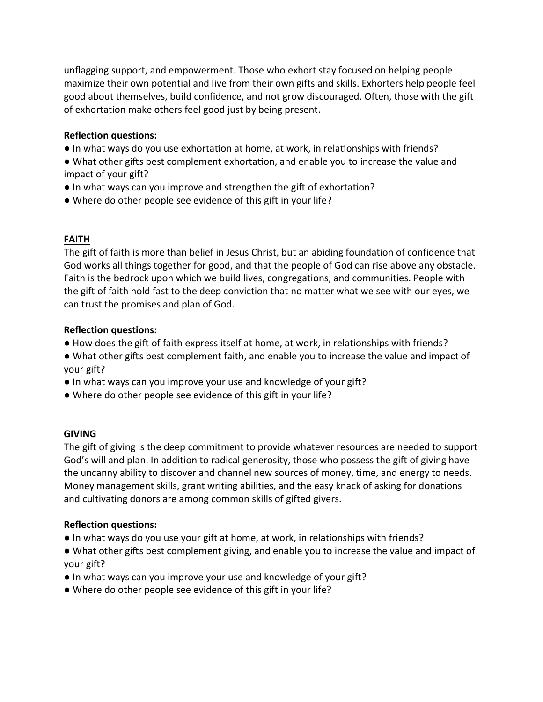unflagging support, and empowerment. Those who exhort stay focused on helping people maximize their own potential and live from their own gifts and skills. Exhorters help people feel good about themselves, build confidence, and not grow discouraged. Often, those with the gift of exhortation make others feel good just by being present.

#### Reflection questions:

- In what ways do you use exhortation at home, at work, in relationships with friends?
- What other gifts best complement exhortation, and enable you to increase the value and impact of your gift?
- In what ways can you improve and strengthen the gift of exhortation?
- Where do other people see evidence of this gift in your life?

## FAITH

The gift of faith is more than belief in Jesus Christ, but an abiding foundation of confidence that God works all things together for good, and that the people of God can rise above any obstacle. Faith is the bedrock upon which we build lives, congregations, and communities. People with the gift of faith hold fast to the deep conviction that no matter what we see with our eyes, we can trust the promises and plan of God.

#### Reflection questions:

- $\bullet$  How does the gift of faith express itself at home, at work, in relationships with friends?
- . What other gifts best complement faith, and enable you to increase the value and impact of your gift?
- In what ways can you improve your use and knowledge of your gift?
- . Where do other people see evidence of this gift in your life?

## GIVING

The gift of giving is the deep commitment to provide whatever resources are needed to support God's will and plan. In addition to radical generosity, those who possess the gift of giving have the uncanny ability to discover and channel new sources of money, time, and energy to needs. Money management skills, grant writing abilities, and the easy knack of asking for donations and cultivating donors are among common skills of gifted givers.

## Reflection questions:

- In what ways do you use your gift at home, at work, in relationships with friends?
- What other gifts best complement giving, and enable you to increase the value and impact of your gift?
- $\bullet$  In what ways can you improve your use and knowledge of your gift?
- Where do other people see evidence of this gift in your life?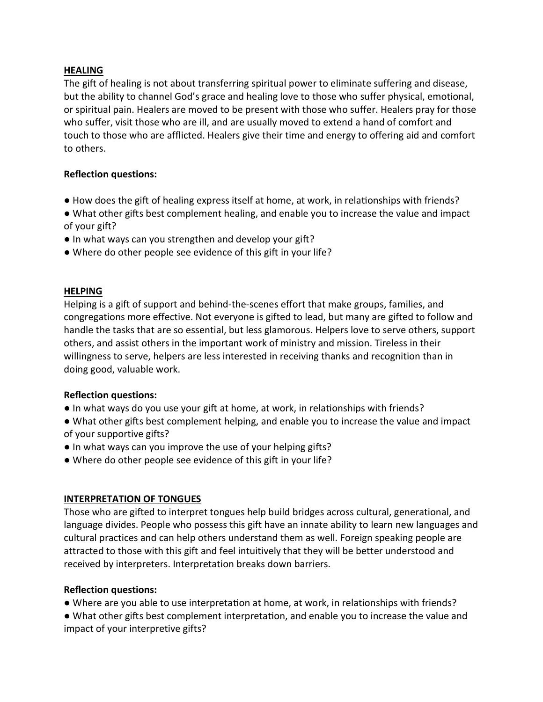#### **HEALING**

The gift of healing is not about transferring spiritual power to eliminate suffering and disease, but the ability to channel God's grace and healing love to those who suffer physical, emotional, or spiritual pain. Healers are moved to be present with those who suffer. Healers pray for those who suffer, visit those who are ill, and are usually moved to extend a hand of comfort and touch to those who are afflicted. Healers give their time and energy to offering aid and comfort to others.

#### Reflection questions:

- How does the gift of healing express itself at home, at work, in relationships with friends?
- What other gifts best complement healing, and enable you to increase the value and impact of your gift?
- In what ways can you strengthen and develop your gift?
- Where do other people see evidence of this gift in your life?

#### HELPING

Helping is a gift of support and behind-the-scenes effort that make groups, families, and congregations more effective. Not everyone is gifted to lead, but many are gifted to follow and handle the tasks that are so essential, but less glamorous. Helpers love to serve others, support others, and assist others in the important work of ministry and mission. Tireless in their willingness to serve, helpers are less interested in receiving thanks and recognition than in doing good, valuable work.

#### Reflection questions:

- In what ways do you use your gift at home, at work, in relationships with friends?
- What other gifts best complement helping, and enable you to increase the value and impact of your supportive gifts?
- In what ways can you improve the use of your helping gifts?
- Where do other people see evidence of this gift in your life?

## INTERPRETATION OF TONGUES

Those who are gifted to interpret tongues help build bridges across cultural, generational, and language divides. People who possess this gift have an innate ability to learn new languages and cultural practices and can help others understand them as well. Foreign speaking people are attracted to those with this gift and feel intuitively that they will be better understood and received by interpreters. Interpretation breaks down barriers.

#### Reflection questions:

• Where are you able to use interpretation at home, at work, in relationships with friends?

• What other gifts best complement interpretation, and enable you to increase the value and impact of your interpretive gifts?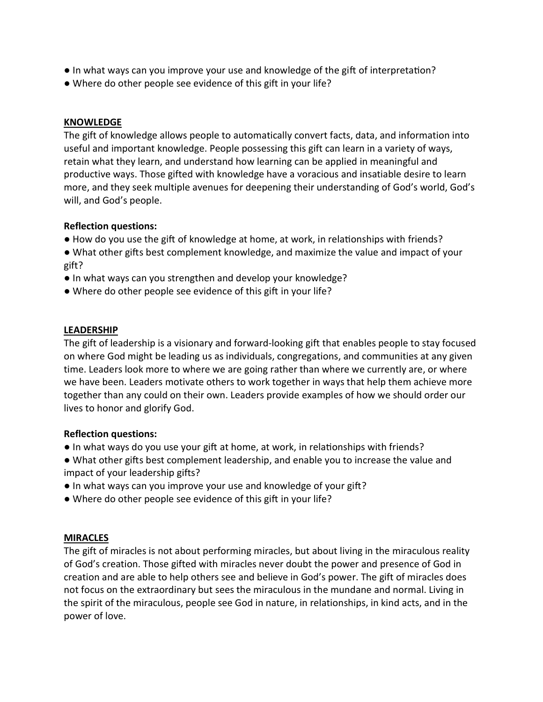- In what ways can you improve your use and knowledge of the gift of interpretation?
- Where do other people see evidence of this gift in your life?

#### KNOWLEDGE

The gift of knowledge allows people to automatically convert facts, data, and information into useful and important knowledge. People possessing this gift can learn in a variety of ways, retain what they learn, and understand how learning can be applied in meaningful and productive ways. Those gifted with knowledge have a voracious and insatiable desire to learn more, and they seek multiple avenues for deepening their understanding of God's world, God's will, and God's people.

#### Reflection questions:

- How do you use the gift of knowledge at home, at work, in relationships with friends?
- What other gifts best complement knowledge, and maximize the value and impact of your gift?
- In what ways can you strengthen and develop your knowledge?
- Where do other people see evidence of this gift in your life?

#### LEADERSHIP

The gift of leadership is a visionary and forward-looking gift that enables people to stay focused on where God might be leading us as individuals, congregations, and communities at any given time. Leaders look more to where we are going rather than where we currently are, or where we have been. Leaders motivate others to work together in ways that help them achieve more together than any could on their own. Leaders provide examples of how we should order our lives to honor and glorify God.

#### Reflection questions:

- In what ways do you use your gift at home, at work, in relationships with friends?
- What other gifts best complement leadership, and enable you to increase the value and impact of your leadership gifts?
- In what ways can you improve your use and knowledge of your gift?
- Where do other people see evidence of this gift in your life?

#### MIRACLES

The gift of miracles is not about performing miracles, but about living in the miraculous reality of God's creation. Those gifted with miracles never doubt the power and presence of God in creation and are able to help others see and believe in God's power. The gift of miracles does not focus on the extraordinary but sees the miraculous in the mundane and normal. Living in the spirit of the miraculous, people see God in nature, in relationships, in kind acts, and in the power of love.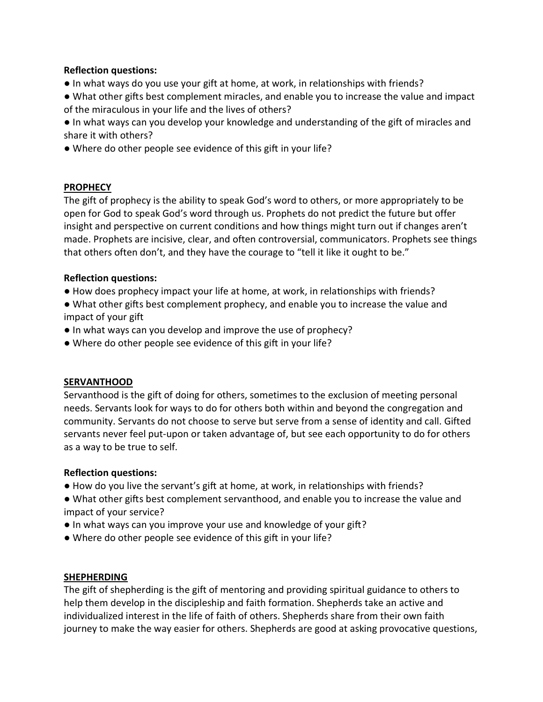#### Reflection questions:

- In what ways do you use your gift at home, at work, in relationships with friends?
- What other gifts best complement miracles, and enable you to increase the value and impact of the miraculous in your life and the lives of others?

● In what ways can you develop your knowledge and understanding of the gift of miracles and share it with others?

. Where do other people see evidence of this gift in your life?

#### **PROPHECY**

The gift of prophecy is the ability to speak God's word to others, or more appropriately to be open for God to speak God's word through us. Prophets do not predict the future but offer insight and perspective on current conditions and how things might turn out if changes aren't made. Prophets are incisive, clear, and often controversial, communicators. Prophets see things that others often don't, and they have the courage to "tell it like it ought to be."

## Reflection questions:

- How does prophecy impact your life at home, at work, in relationships with friends?
- What other gifts best complement prophecy, and enable you to increase the value and impact of your gift
- In what ways can you develop and improve the use of prophecy?
- . Where do other people see evidence of this gift in your life?

## SERVANTHOOD

Servanthood is the gift of doing for others, sometimes to the exclusion of meeting personal needs. Servants look for ways to do for others both within and beyond the congregation and community. Servants do not choose to serve but serve from a sense of identity and call. Gifted servants never feel put-upon or taken advantage of, but see each opportunity to do for others as a way to be true to self.

#### Reflection questions:

- How do you live the servant's gift at home, at work, in relationships with friends?
- What other gifts best complement servanthood, and enable you to increase the value and impact of your service?
- In what ways can you improve your use and knowledge of your gift?
- . Where do other people see evidence of this gift in your life?

#### SHEPHERDING

The gift of shepherding is the gift of mentoring and providing spiritual guidance to others to help them develop in the discipleship and faith formation. Shepherds take an active and individualized interest in the life of faith of others. Shepherds share from their own faith journey to make the way easier for others. Shepherds are good at asking provocative questions,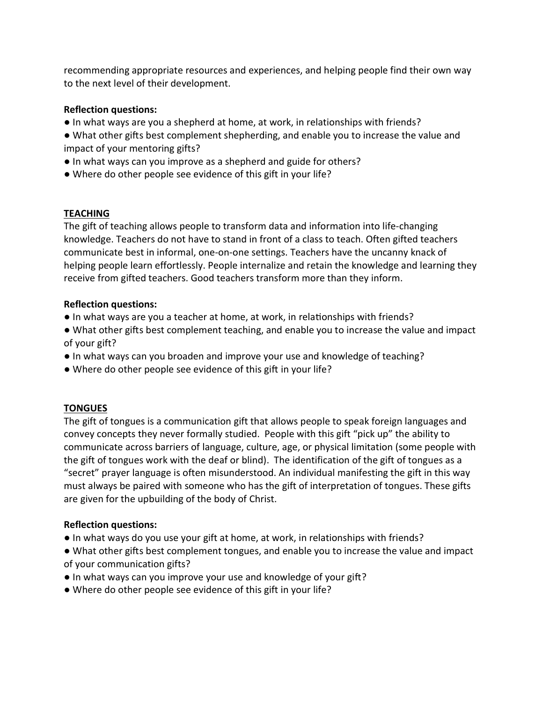recommending appropriate resources and experiences, and helping people find their own way to the next level of their development.

## Reflection questions:

- In what ways are you a shepherd at home, at work, in relationships with friends?
- What other gifts best complement shepherding, and enable you to increase the value and impact of your mentoring gifts?
- In what ways can you improve as a shepherd and guide for others?
- Where do other people see evidence of this gift in your life?

## **TEACHING**

The gift of teaching allows people to transform data and information into life-changing knowledge. Teachers do not have to stand in front of a class to teach. Often gifted teachers communicate best in informal, one-on-one settings. Teachers have the uncanny knack of helping people learn effortlessly. People internalize and retain the knowledge and learning they receive from gifted teachers. Good teachers transform more than they inform.

## Reflection questions:

- In what ways are you a teacher at home, at work, in relationships with friends?
- What other gifts best complement teaching, and enable you to increase the value and impact of your gift?
- In what ways can you broaden and improve your use and knowledge of teaching?
- . Where do other people see evidence of this gift in your life?

# **TONGUES**

The gift of tongues is a communication gift that allows people to speak foreign languages and convey concepts they never formally studied. People with this gift "pick up" the ability to communicate across barriers of language, culture, age, or physical limitation (some people with the gift of tongues work with the deaf or blind). The identification of the gift of tongues as a "secret" prayer language is often misunderstood. An individual manifesting the gift in this way must always be paired with someone who has the gift of interpretation of tongues. These gifts are given for the upbuilding of the body of Christ.

# Reflection questions:

- In what ways do you use your gift at home, at work, in relationships with friends?
- What other gifts best complement tongues, and enable you to increase the value and impact of your communication gifts?
- $\bullet$  In what ways can you improve your use and knowledge of your gift?
- Where do other people see evidence of this gift in your life?